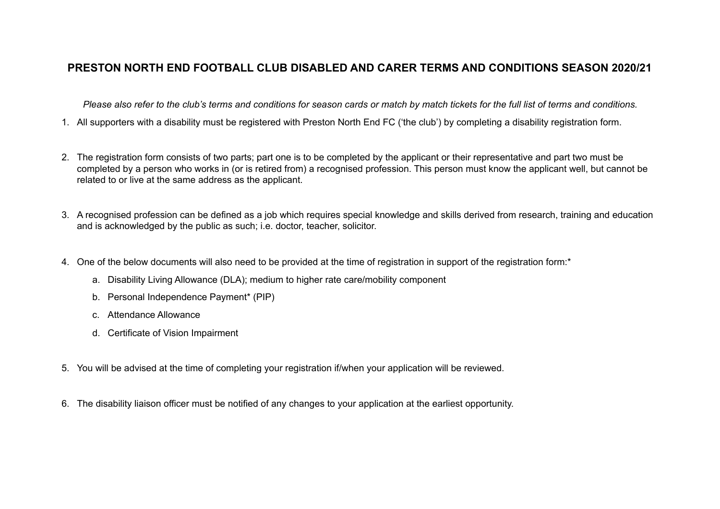## **PRESTON NORTH END FOOTBALL CLUB DISABLED AND CARER TERMS AND CONDITIONS SEASON 2020/21**

*Please also refer to the club's terms and conditions for season cards or match by match tickets for the full list of terms and conditions.* 

- 1. All supporters with a disability must be registered with Preston North End FC ('the club') by completing a disability registration form.
- 2. The registration form consists of two parts; part one is to be completed by the applicant or their representative and part two must be completed by a person who works in (or is retired from) a recognised profession. This person must know the applicant well, but cannot be related to or live at the same address as the applicant.
- 3. A recognised profession can be defined as a job which requires special knowledge and skills derived from research, training and education and is acknowledged by the public as such; i.e. doctor, teacher, solicitor.
- 4. One of the below documents will also need to be provided at the time of registration in support of the registration form:<sup>\*</sup>
	- a. Disability Living Allowance (DLA); medium to higher rate care/mobility component
	- b. Personal Independence Payment\* (PIP)
	- c. Attendance Allowance
	- d. Certificate of Vision Impairment
- 5. You will be advised at the time of completing your registration if/when your application will be reviewed.
- 6. The disability liaison officer must be notified of any changes to your application at the earliest opportunity.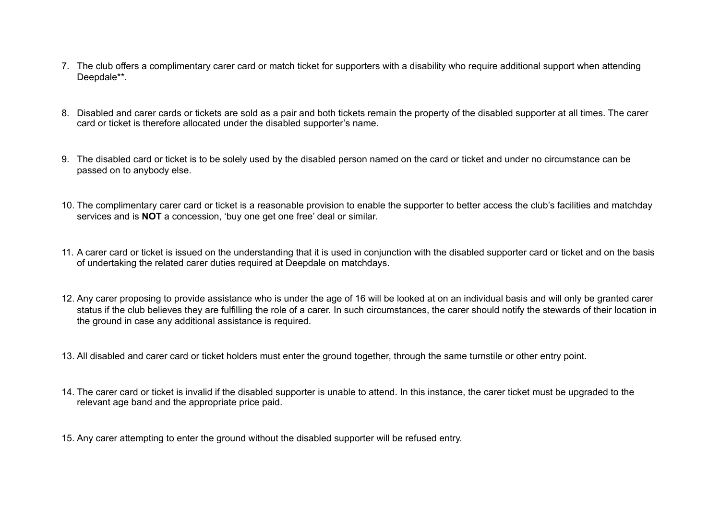- 7. The club offers a complimentary carer card or match ticket for supporters with a disability who require additional support when attending Deepdale\*\*.
- 8. Disabled and carer cards or tickets are sold as a pair and both tickets remain the property of the disabled supporter at all times. The carer card or ticket is therefore allocated under the disabled supporter's name.
- 9. The disabled card or ticket is to be solely used by the disabled person named on the card or ticket and under no circumstance can be passed on to anybody else.
- 10. The complimentary carer card or ticket is a reasonable provision to enable the supporter to better access the club's facilities and matchday services and is **NOT** a concession, 'buy one get one free' deal or similar.
- 11. A carer card or ticket is issued on the understanding that it is used in conjunction with the disabled supporter card or ticket and on the basis of undertaking the related carer duties required at Deepdale on matchdays.
- 12. Any carer proposing to provide assistance who is under the age of 16 will be looked at on an individual basis and will only be granted carer status if the club believes they are fulfilling the role of a carer. In such circumstances, the carer should notify the stewards of their location in the ground in case any additional assistance is required.
- 13. All disabled and carer card or ticket holders must enter the ground together, through the same turnstile or other entry point.
- 14. The carer card or ticket is invalid if the disabled supporter is unable to attend. In this instance, the carer ticket must be upgraded to the relevant age band and the appropriate price paid.
- 15. Any carer attempting to enter the ground without the disabled supporter will be refused entry.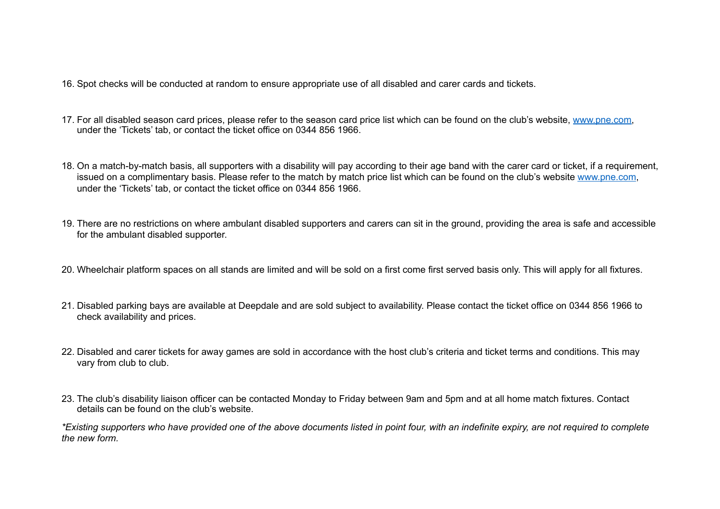- 16. Spot checks will be conducted at random to ensure appropriate use of all disabled and carer cards and tickets.
- 17. For all disabled season card prices, please refer to the season card price list which can be found on the club's website, [www.pne.com,](http://www.pne.com) under the 'Tickets' tab, or contact the ticket office on 0344 856 1966.
- 18. On a match-by-match basis, all supporters with a disability will pay according to their age band with the carer card or ticket, if a requirement, issued on a complimentary basis. Please refer to the match by match price list which can be found on the club's website [www.pne.com](http://www.pne.com), under the 'Tickets' tab, or contact the ticket office on 0344 856 1966.
- 19. There are no restrictions on where ambulant disabled supporters and carers can sit in the ground, providing the area is safe and accessible for the ambulant disabled supporter.
- 20. Wheelchair platform spaces on all stands are limited and will be sold on a first come first served basis only. This will apply for all fixtures.
- 21. Disabled parking bays are available at Deepdale and are sold subject to availability. Please contact the ticket office on 0344 856 1966 to check availability and prices.
- 22. Disabled and carer tickets for away games are sold in accordance with the host club's criteria and ticket terms and conditions. This may vary from club to club.
- 23. The club's disability liaison officer can be contacted Monday to Friday between 9am and 5pm and at all home match fixtures. Contact details can be found on the club's website.

*\*Existing supporters who have provided one of the above documents listed in point four, with an indefinite expiry, are not required to complete the new form.*